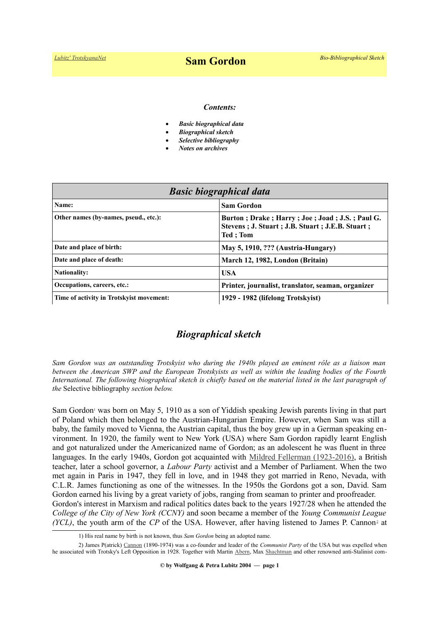#### *Contents:*

- *Basic biographical data*
- *Biographical sketch*
- *Selective bibliography*
- *Notes on archives*

| <b>Basic biographical data</b>           |                                                                                                                       |
|------------------------------------------|-----------------------------------------------------------------------------------------------------------------------|
| Name:                                    | <b>Sam Gordon</b>                                                                                                     |
| Other names (by-names, pseud., etc.):    | Burton; Drake; Harry; Joe; Joad; J.S.; Paul G.<br>Stevens; J. Stuart; J.B. Stuart; J.E.B. Stuart;<br><b>Ted</b> : Tom |
| Date and place of birth:                 | May 5, 1910, ??? (Austria-Hungary)                                                                                    |
| Date and place of death:                 | March 12, 1982, London (Britain)                                                                                      |
| <b>Nationality:</b>                      | <b>USA</b>                                                                                                            |
| Occupations, careers, etc.:              | Printer, journalist, translator, seaman, organizer                                                                    |
| Time of activity in Trotskyist movement: | 1929 - 1982 (lifelong Trotskyist)                                                                                     |

## *Biographical sketch*

*Sam Gordon was an outstanding Trotskyist who during the 1940s played an eminent rôle as a liaison man between the American SWP and the European Trotskyists as well as within the leading bodies of the Fourth International. The following biographical sketch is chiefly based on the material listed in the last paragraph of the* Selective bibliography *section below.*

Sam Gordo[n](#page-0-0)<sup>1</sup> was born on May 5, 1910 as a son of Yiddish speaking Jewish parents living in that part of Poland which then belonged to the Austrian-Hungarian Empire. However, when Sam was still a baby, the family moved to Vienna, the Austrian capital, thus the boy grew up in a German speaking environment. In 1920, the family went to New York (USA) where Sam Gordon rapidly learnt English and got naturalized under the Americanized name of Gordon; as an adolescent he was fluent in three languages. In the early 1940s, Gordon got acquainted with [Mildred Fellerman \(1923-2016\),](https://en.wikipedia.org/wiki/Mildred_Gordon_(politician)) a British teacher, later a school governor, a *Labour Party* activist and a Member of Parliament. When the two met again in Paris in 1947, they fell in love, and in 1948 they got married in Reno, Nevada, with C.L.R. James functioning as one of the witnesses. In the 1950s the Gordons got a son, David. Sam Gordon earned his living by a great variety of jobs, ranging from seaman to printer and proofreader. Gordon's interest in Marxism and radical politics dates back to the years 1927/28 when he attended the *College of the City of New York (CCNY)* and soon became a member of the *Young Communist League (YCL)*, the youth arm of the *CP* of the USA. However, after having listened to James P. Cannon<sup>[2](http://www.trotskyana.net/Trotskyists/Bio-Bibliographies/bio-bibl_cannon.pdf)</sup> at

<span id="page-0-1"></span><span id="page-0-0"></span><sup>1)</sup> His real name by birth is not known, thus *Sam Gordon* being an adopted name.

<sup>2)</sup> James P(atrick) [Cannon](https://www.trotskyana.net/Trotskyists/Bio-Bibliographies/bio-bibl_cannon.pdf) (1890-1974) was a co-founder and leader of the *Communist Party* of the USA but was expelled when he associated with Trotsky's Left Opposition in 1928. Together with Martin [Abern,](https://www.trotskyana.net/Trotskyists/Bio-Bibliographies/bio-bibl_abern.pdf) Max [Shachtman](https://www.trotskyana.net/Trotskyists/Bio-Bibliographies/bio-bibl_shachtman.pdf) and other renowned anti-Stalinist com-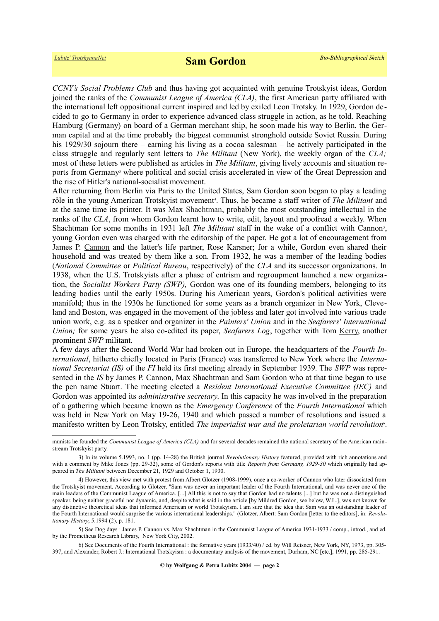*CCNY's Social Problems Club* and thus having got acquainted with genuine Trotskyist ideas, Gordon joined the ranks of the *Communist League of America (CLA)*, the first American party affiliated with the international left oppositional current inspired and led by exiled Leon Trotsky. In 1929, Gordon decided to go to Germany in order to experience advanced class struggle in action, as he told. Reaching Hamburg (Germany) on board of a German merchant ship, he soon made his way to Berlin, the German capital and at the time probably the biggest communist stronghold outside Soviet Russia. During his 1929/30 sojourn there – earning his living as a cocoa salesman – he actively participated in the class struggle and regularly sent letters to *The Militant* (New York), the weekly organ of the *CLA;* most of these letters were published as articles in *The Militant*, giving lively accounts and situation reportsfrom Germany<sup>3</sup> where political and social crisis accelerated in view of the Great Depression and the rise of Hitler's national-socialist movement.

After returning from Berlin via Paris to the United States, Sam Gordon soon began to play a leading rôle in the young American Trotskyist movement<sup>4</sup>[.](#page-1-1) Thus, he became a staff writer of *The Militant* and at the same time its printer. It was Max [Shachtman,](https://www.trotskyana.net/Trotskyists/Bio-Bibliographies/bio-bibl_shachtman.pdf) probably the most outstanding intellectual in the ranks of the *CLA*, from whom Gordon learnt how to write, edit, layout and proofread a weekly. When Shachtman for some months in 1931 left *The Militant* staff in the wake of a conflict with Cannon<sup>[5](#page-1-2)</sup>, young Gordon even was charged with the editorship of the paper. He got a lot of encouragement from James P. [Cannon](https://www.trotskyana.net/Trotskyists/Bio-Bibliographies/bio-bibl_cannon.pdf) and the latter's life partner, Rose Karsner; for a while, Gordon even shared their household and was treated by them like a son. From 1932, he was a member of the leading bodies (*National Committee* or *Political Bureau*, respectively) of the *CLA* and its successor organizations. In 1938, when the U.S. Trotskyists after a phase of entrism and regroupment launched a new organization, the *Socialist Workers Party (SWP),* Gordon was one of its founding members, belonging to its leading bodies until the early 1950s. During his American years, Gordon's political activities were manifold; thus in the 1930s he functioned for some years as a branch organizer in New York, Cleveland and Boston, was engaged in the movement of the jobless and later got involved into various trade union work, e.g. as a speaker and organizer in the *Painters' Union* and in the *Seafarers' International Union;* for some years he also co-edited its paper, *Seafarers Log*, together with Tom [Kerry,](https://www.trotskyana.net/Trotskyists/Bio-Bibliographies/bio-bibl_kerry.pdf) another prominent *SWP* militant.

A few days after the Second World War had broken out in Europe, the headquarters of the *Fourth International*, hitherto chiefly located in Paris (France) was transferred to New York where the *International Secretariat (IS)* of the *FI* held its first meeting already in September 1939. The *SWP* was represented in the *IS* by James P. Cannon, Max Shachtman and Sam Gordon who at that time began to use the pen name Stuart. The meeting elected a *Resident International Executive Committee (IEC)* and Gordon was appointed its *administrative secretary*. In this capacity he was involved in the preparation of a gathering which became known as the *Emergency Conference* of the *Fourth International* which was held in New York on May 19-26, 1940 and which passed a number of resolutions and issued a manifesto written by Leon Trotsky, entitled *The imperialist war and the proletarian world revolution<sup>[6](#page-1-3)</sup>.* 

munists he founded the *Communist League of America (CLA)* and for several decades remained the national secretary of the American mainstream Trotskyist party.

<span id="page-1-0"></span><sup>3)</sup> In its volume 5.1993, no. 1 (pp. 14-28) the British journal *Revolutionary History* featured, provided with rich annotations and with a comment by Mike Jones (pp. 29-32), some of Gordon's reports with title *Reports from Germany*, 1929-30 which originally had appeared in *The Militant* between December 21, 1929 and October 1, 1930.

<span id="page-1-1"></span><sup>4)</sup> However, this view met with protest from Albert Glotzer (1908-1999), once a co-worker of Cannon who later dissociated from the Trotskyist movement. According to Glotzer, "Sam was never an important leader of the Fourth International, and was never one of the main leaders of the Communist League of America. [...] All this is not to say that Gordon had no talents [...] but he was not a distinguished speaker, being neither graceful nor dynamic, and, despite what is said in the article [by Mildred Gordon, see below, W.L.], was not known for any distinctive theoretical ideas that informed American or world Trotskyism. I am sure that the idea that Sam was an outstanding leader of the Fourth International would surprise the various international leaderships." (Glotzer, Albert: Sam Gordon [letter to the editors], in: *Revolutionary History*, 5.1994 (2), p. 181.

<span id="page-1-2"></span><sup>5)</sup> See Dog days : James P. Cannon vs. Max Shachtman in the Communist League of America 1931-1933 / comp., introd., and ed. by the Prometheus Research Library, New York City, 2002.

<span id="page-1-3"></span><sup>6)</sup> See Documents of the Fourth International : the formative years (1933/40) / ed. by Will Reisner, New York, NY, 1973, pp. 305- 397, and Alexander, Robert J.: International Trotskyism : a documentary analysis of the movement, Durham, NC [etc.], 1991, pp. 285-291.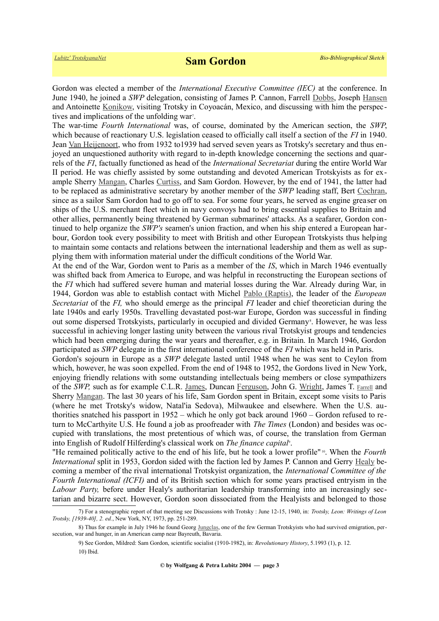Gordon was elected a member of the *International Executive Committee (IEC)* at the conference. In June 1940, he joined a *SWP* delegation, consisting of James P. Cannon, Farrell [Dobbs,](https://en.wikipedia.org/wiki/Farrell_Dobbs) Joseph [Hansen](https://www.trotskyana.net/Trotskyists/Bio-Bibliographies/bio-bibl_hansen_j.pdf) and Antoinette [Konikow,](https://en.wikipedia.org/wiki/Antoinette_Konikow) visiting Trotsky in Coyoacán, Mexico, and discussing with him the perspectives and implications of the unfolding war'.

The war-time *Fourth International* was, of course, dominated by the American section, the *SWP*, which because of reactionary U.S. legislation ceased to officially call itself a section of the *FI* in 1940. Jean [Van Heijenoort,](https://www.trotskyana.net/Trotskyists/Bio-Bibliographies/bio-bibl_vanheijenoort.pdf) who from 1932 to1939 had served seven years as Trotsky's secretary and thus enjoyed an unquestioned authority with regard to in-depth knowledge concerning the sections and quarrels of the *FI*, factually functioned as head of the *International Secretariat* during the entire World War II period. He was chiefly assisted by some outstanding and devoted American Trotskyists as for example Sherry [Mangan,](https://www.trotskyana.net/Trotskyists/Bio-Bibliographies/bio-bibl_mangan.pdf) Charles [Curtiss,](https://www.trotskyana.net/Trotskyists/Bio-Bibliographies/bio-bibl_curtiss.pdf) and Sam Gordon. However, by the end of 1941, the latter had to be replaced as administrative secretary by another member of the *SWP* leading staff, Bert [Cochran,](https://www.trotskyana.net/Trotskyists/Bio-Bibliographies/bio-bibl_cochran.pdf) since as a sailor Sam Gordon had to go off to sea. For some four years, he served as engine greaser on ships of the U.S. merchant fleet which in navy convoys had to bring essential supplies to Britain and other allies, permanently being threatened by German submarines' attacks. As a seafarer, Gordon continued to help organize the *SWP's* seamen's union fraction, and when his ship entered a European harbour, Gordon took every possibility to meet with British and other European Trotskyists thus helping to maintain some contacts and relations between the international leadership and them as well as supplying them with information material under the difficult conditions of the World War.

At the end of the War, Gordon went to Paris as a member of the *IS*, which in March 1946 eventually was shifted back from America to Europe, and was helpful in reconstructing the European sections of the *FI* which had suffered severe human and material losses during the War. Already during War, in 1944, Gordon was able to establish contact with Michel [Pablo \(Raptis\),](https://www.trotskyana.net/Trotskyists/Bio-Bibliographies/bio-bibl_pablo.pdf) the leader of the *European Secretariat* of the *FI,* who should emerge as the principal *FI* leader and chief theoretician during the late 1940s and early 1950s. Travelling devastated post-war Europe, Gordon was successful in finding out some dispersed Trotskyists, particularly in occupied and divided Germany<sup>8</sup>[.](#page-2-1) However, he was less successful in achieving longer lasting unity between the various rival Trotskyist groups and tendencies which had been emerging during the war years and thereafter, e.g. in Britain. In March 1946, Gordon participated as *SWP* delegate in the first international conference of the *FI* which was held in Paris.

Gordon's sojourn in Europe as a *SWP* delegate lasted until 1948 when he was sent to Ceylon from which, however, he was soon expelled. From the end of 1948 to 1952, the Gordons lived in New York, enjoying friendly relations with some outstanding intellectuals being members or close sympathizers of the *SWP,* such as for example C.L.R. [James,](https://en.wikipedia.org/wiki/C._L._R._James) Duncan [Ferguson,](https://www.trotskyana.net/Other_trotskyana/Trotsky_Sculptors/trotsky_sculptors.html) John G. [Wright,](https://www.trotskyana.net/Trotskyists/Bio-Bibliographies/bio-bibl_wright.pdf) James T. [Farrell](https://en.wikipedia.org/wiki/James_T._Farrell) and Sherry [Mangan.](https://www.trotskyana.net/Trotskyists/Bio-Bibliographies/bio-bibl_mangan.pdf) The last 30 years of his life, Sam Gordon spent in Britain, except some visits to Paris (where he met Trotsky's widow, Natal'ia Sedova), Milwaukee and elsewhere. When the U.S. authorities snatched his passport in 1952 – which he only got back around 1960 – Gordon refused to return to McCarthyite U.S. He found a job as proofreader with *The Times* (London) and besides was occupied with translations, the most pretentious of which was, of course, the translation from German into Eng[l](#page-2-2)ish of Rudolf Hilferding's classical work on *The finance capital<sup>9</sup>*.

"He remained politically active to the end of his life, but he took a lower profile" [10](#page-2-3). When the *Fourth International* split in 1953, Gordon sided with the faction led by James P. Cannon and Gerry [Healy](https://www.trotskyana.net/Trotskyists/Bio-Bibliographies/bio-bibl_healy.pdf) becoming a member of the rival international Trotskyist organization, the *International Committee of the Fourth International (ICFI)* and of its British section which for some years practised entryism in the *Labour Party,* before under Healy's authoritarian leadership transforming into an increasingly sectarian and bizarre sect. However, Gordon soon dissociated from the Healyists and belonged to those

<span id="page-2-0"></span><sup>7)</sup> For a stenographic report of that meeting see Discussions with Trotsky : June 12-15, 1940, in: *Trotsky, Leon: Writings of Leon Trotsky, [1939-40], 2. ed.*, New York, NY, 1973, pp. 251-289.

<sup>8)</sup> Thus for example in July 1946 he found Georg [Jungclas,](https://de.wikipedia.org/wiki/Georg_Jungclas) one of the few German Trotskyists who had survived emigration, persecution, war and hunger, in an American camp near Bayreuth, Bavaria.

<span id="page-2-3"></span><span id="page-2-2"></span><span id="page-2-1"></span><sup>9)</sup> See Gordon, Mildred: Sam Gordon, scientific socialist (1910-1982), in: *Revolutionary History*, 5.1993 (1), p. 12. 10) Ibid.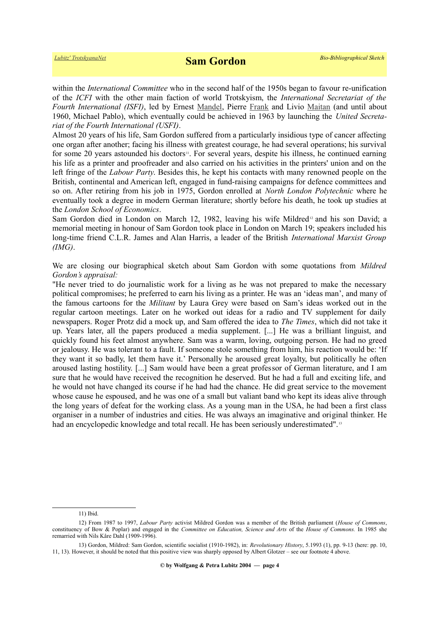within the *International Committee* who in the second half of the 1950s began to favour re-unification of the *ICFI* with the other main faction of world Trotskyism, the *International Secretariat of the Fourth International (ISFI)*, led by Ernest [Mandel,](https://www.trotskyana.net/Trotskyists/Ernest_Mandel/ernest_mandel.html) Pierre [Frank](https://www.trotskyana.net/Trotskyists/Bio-Bibliographies/bio-bibl_frank.pdf) and Livio [Maitan](https://www.trotskyana.net/Trotskyists/Bio-Bibliographies/bio-bibl_maitan.pdf) (and until about 1960, Michael Pablo), which eventually could be achieved in 1963 by launching the *United Secretariat of the Fourth International (USFI)*.

Almost 20 years of his life, Sam Gordon suffered from a particularly insidious type of cancer affecting one organ after another; facing his illness with greatest courage, he had several operations; his survival for some 20 years astounded his doctors<sup>[11](#page-3-0)</sup>. For several years, despite his illness, he continued earning his life as a printer and proofreader and also carried on his activities in the printers' union and on the left fringe of the *Labour Party*. Besides this, he kept his contacts with many renowned people on the British, continental and American left, engaged in fund-raising campaigns for defence committees and so on. After retiring from his job in 1975, Gordon enrolled at *North London Polytechnic* where he eventually took a degree in modern German literature; shortly before his death, he took up studies at the *London School of Economics*.

Sam Gordon died in London on March [12](#page-3-1), 1982, leaving his wife Mildred<sup>12</sup> and his son David; a memorial meeting in honour of Sam Gordon took place in London on March 19; speakers included his long-time friend C.L.R. James and Alan Harris, a leader of the British *International Marxist Group (IMG)*.

We are closing our biographical sketch about Sam Gordon with some quotations from *Mildred Gordon's appraisal:*

"He never tried to do journalistic work for a living as he was not prepared to make the necessary political compromises; he preferred to earn his living as a printer. He was an 'ideas man', and many of the famous cartoons for the *Militant* by Laura Grey were based on Sam's ideas worked out in the regular cartoon meetings. Later on he worked out ideas for a radio and TV supplement for daily newspapers. Roger Protz did a mock up, and Sam offered the idea to *The Times*, which did not take it up. Years later, all the papers produced a media supplement. [...] He was a brilliant linguist, and quickly found his feet almost anywhere. Sam was a warm, loving, outgoing person. He had no greed or jealousy. He was tolerant to a fault. If someone stole something from him, his reaction would be: 'If they want it so badly, let them have it.' Personally he aroused great loyalty, but politically he often aroused lasting hostility. [...] Sam would have been a great professor of German literature, and I am sure that he would have received the recognition he deserved. But he had a full and exciting life, and he would not have changed its course if he had had the chance. He did great service to the movement whose cause he espoused, and he was one of a small but valiant band who kept its ideas alive through the long years of defeat for the working class. As a young man in the USA, he had been a first class organiser in a number of industries and cities. He was always an imaginative and original thinker. He had an encyclopedic knowledge and total recall. He has been seriously underestimated".<sup>[13](#page-3-2)</sup>

<span id="page-3-2"></span><span id="page-3-1"></span><span id="page-3-0"></span>11) Ibid.

<sup>12)</sup> From 1987 to 1997, *Labour Party* activist Mildred Gordon was a member of the British parliament (*House of Commons*, constituency of Bow & Poplar) and engaged in the *Committee on Education, Science and Arts* of the *House of Commons.* In 1985 she remarried with Nils Kåre Dahl (1909-1996).

<sup>13)</sup> Gordon, Mildred: Sam Gordon, scientific socialist (1910-1982), in: *Revolutionary History*, 5.1993 (1), pp. 9-13 (here: pp. 10, 11, 13). However, it should be noted that this positive view was sharply opposed by Albert Glotzer – see our footnote 4 above.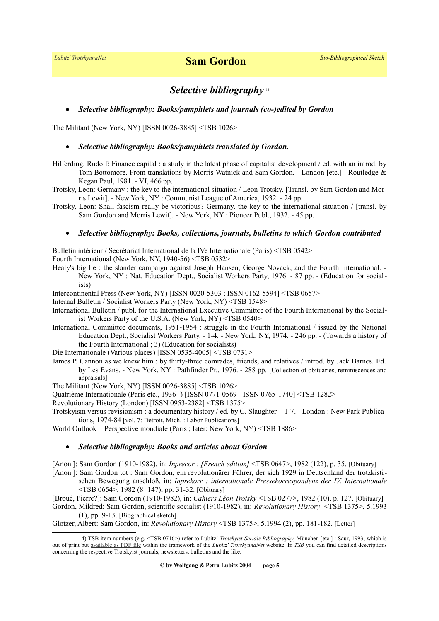# *Selective bibliography* [14](#page-4-0)

## *Selective bibliography: Books/pamphlets and journals (co-)edited by Gordon*

The Militant (New York, NY) [ISSN 0026-3885] <TSB 1026>

#### *Selective bibliography: Books/pamphlets translated by Gordon.*

- Hilferding, Rudolf: Finance capital : a study in the latest phase of capitalist development / ed. with an introd. by Tom Bottomore. From translations by Morris Watnick and Sam Gordon. - London [etc.] : Routledge & Kegan Paul, 1981. - VI, 466 pp.
- Trotsky, Leon: Germany : the key to the international situation / Leon Trotsky. [Transl. by Sam Gordon and Morris Lewit]. - New York, NY : Communist League of America, 1932. - 24 pp.
- Trotsky, Leon: Shall fascism really be victorious? Germany, the key to the international situation / [transl. by Sam Gordon and Morris Lewit]. - New York, NY : Pioneer Publ., 1932. - 45 pp.

#### *Selective bibliography: Books, collections, journals, bulletins to which Gordon contributed*

Bulletin intérieur / Secrétariat International de la IVe Internationale (Paris) <TSB 0542>

Fourth International (New York, NY, 1940-56) <TSB 0532>

- Healy's big lie : the slander campaign against Joseph Hansen, George Novack, and the Fourth International. New York, NY : Nat. Education Dept., Socialist Workers Party, 1976. - 87 pp. - (Education for socialists)
- Intercontinental Press (New York, NY) [ISSN 0020-5303 ; ISSN 0162-5594] <TSB 0657>
- Internal Bulletin / Socialist Workers Party (New York, NY) <TSB 1548>
- International Bulletin / publ. for the International Executive Committee of the Fourth International by the Socialist Workers Party of the U.S.A. (New York, NY) <TSB 0540>
- International Committee documents, 1951-1954 : struggle in the Fourth International / issued by the National Education Dept., Socialist Workers Party. - 1-4. - New York, NY, 1974. - 246 pp. - (Towards a history of the Fourth International ; 3) (Education for socialists)

Die Internationale (Various places) [ISSN 0535-4005] <TSB 0731>

James P. Cannon as we knew him : by thirty-three comrades, friends, and relatives / introd. by Jack Barnes. Ed. by Les Evans. - New York, NY : Pathfinder Pr., 1976. - 288 pp. [Collection of obituaries, reminiscences and appraisals]

The Militant (New York, NY) [ISSN 0026-3885] <TSB 1026>

Quatrième Internationale (Paris etc., 1936- ) [ISSN 0771-0569 - ISSN 0765-1740] <TSB 1282>

- Revolutionary History (London) [ISSN 0953-2382] <TSB 1375>
- Trotskyism versus revisionism : a documentary history / ed. by C. Slaughter. 1-7. London : New Park Publications, 1974-84 [vol. 7: Detroit, Mich. : Labor Publications]

World Outlook = Perspective mondiale (Paris ; later: New York, NY) <TSB 1886>

## *Selective bibliography: Books and articles about Gordon*

[Anon.]: Sam Gordon (1910-1982), in: *Inprecor : [French edition]* <TSB 0647>, 1982 (122), p. 35. [Obituary]

[Anon.]: Sam Gordon tot : Sam Gordon, ein revolutionärer Führer, der sich 1929 in Deutschland der trotzkisti-

schen Bewegung anschloß, in: *Inprekorr : internationale Pressekorrespondenz der IV. Internationale* <TSB 0654>, 1982 (8=147), pp. 31-32. [Obituary]

[Broué, Pierre?]: Sam Gordon (1910-1982), in: *Cahiers Léon Trotsky* <TSB 0277>, 1982 (10), p. 127. [Obituary]

Gordon, Mildred: Sam Gordon, scientific socialist (1910-1982), in: *Revolutionary History* <TSB 1375>, 5.1993 (1), pp. 9-13. [Biographical sketch]

Glotzer, Albert: Sam Gordon, in: *Revolutionary History* <TSB 1375>, 5.1994 (2), pp. 181-182. [Letter]

<span id="page-4-0"></span><sup>14)</sup> TSB item numbers (e.g. <TSB 0716>) refer to Lubitz' *Trotskyist Serials Bibliography*, München [etc.] : Saur, 1993, which is out of print but [available as PDF file](https://www.trotskyana.net/LubitzBibliographies/Serials_Bibliography/serials_bibliography.htm#PDF) within the framework of the *Lubitz' TrotskyanaNet* website. In *TSB* you can find detailed descriptions concerning the respective Trotskyist journals, newsletters, bulletins and the like.